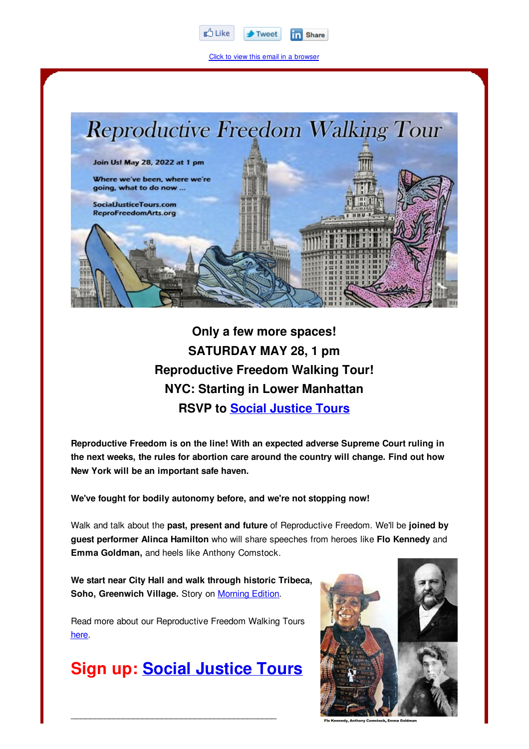

Click to view this email in a browser



**Only a few more spaces! SATURDAY MAY 28, 1 pm Reproductive Freedom Walking Tour! NYC: Starting in Lower Manhattan RSVP to Social Justice Tours**

**Reproductive Freedom is on the line! With an expected adverse Supreme Court ruling in the next weeks, the rules for abortion care around the country will change. Find out how New York will be an important safe haven.**

**We've fought for bodily autonomy before, and we're not stopping now!**

Walk and talk about the **past, present and future** of Reproductive Freedom. We'll be **joined by guest performer Alinca Hamilton** who will share speeches from heroes like **Flo Kennedy** and **Emma Goldman,** and heels like Anthony Comstock.

**We start near City Hall and walk through historic Tribeca, Soho, Greenwich Village.** Story on Morning Edition.

Read more about our Reproductive Freedom Walking Tours here.

## **Sign up: Social Justice Tours**

 $\overline{\phantom{a}}$  , which is a set of the set of the set of the set of the set of the set of the set of the set of the set of the set of the set of the set of the set of the set of the set of the set of the set of the set of th